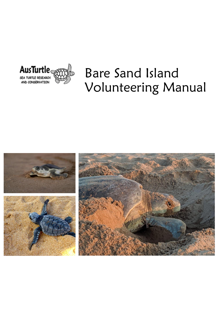

# Bare Sand Island Volunteering Manual

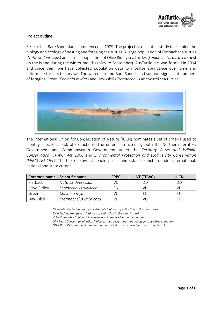

# Project outline

Research at Bare Sand Island commenced in 1989. The project is a scientific study to examine the biology and ecology of nesting and foraging sea turtles. A large population of Flatback sea turtles (*Natator depressus*) and a small population of Olive Ridley sea turtles (*Lepidochelys olivacea*) nest on the island during the winter months (May to September). AusTurtle Inc. was formed in 2004 and since then, we have collected population data to monitor abundance over time and determine threats to survival. The waters around Bare Sand Island support significant numbers of foraging Green (*Chelonia mydas*) and Hawksbill (*Eretmochelys imbricate)* sea turtles.



The International Union for Conservation of Nature (IUCN) nominates a set of criteria used to identify species at risk of extinctions. The criteria are used by both the Northern Territory Government and Commonwealth Government under the *Territory Parks and Wildlife Conservation (TPWC) Act* 2006 and *Environmental Protection and Biodiversity Conservation (EPBC) Act 1999*. The table below lists each species and risk of extinction under international, national and state criteria.

| Common name  | Scientific name        | <b>EPBC</b> | NT (TPWC) | <b>IUCN</b> |
|--------------|------------------------|-------------|-----------|-------------|
| Flatback     | Natator depressus      | VU          | DГ        | DD          |
| Olive Ridley | Lepidochelys olivacea  | FN          | VU.       | VU          |
| Green        | Chelonia mydas         | VU          |           | FN          |
| Hawksbill    | Eretmochelys imbricata | VI I        | VI        |             |

*CR – Critically Endangered (an extremely high risk of extinction in the near future)*

*EN – Endangered (a very high risk of extinction in the near future)*

*VU – Vulnerable (a high risk of extinction in the wild in the medium term*

*LC – Least Concern (evaluation indicates the species does not qualify for any other category)*

*DD – Data Deficient (evaluated but inadequate data or knowledge to rank the status)*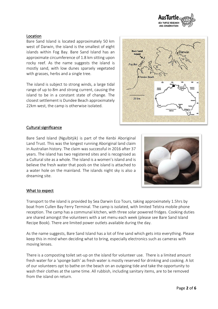

## Location

Bare Sand Island is located approximately 50 km west of Darwin, the island is the smallest of eight islands within Fog Bay. Bare Sand Island has an approximate circumference of 1.8 km sitting upon rocky reef. As the name suggests the island is mostly sand, with low dunes sparsely vegetated with grasses, herbs and a single tree.

The island is subject to strong winds, a large tidal range of up to 8m and strong current, causing the island to be in a constant state of change. The closest settlement is Dundee Beach approximately 22km west, the camp is otherwise isolated.



## Cultural significance

Bare Sand Island (Ngulbitjik) is part of the Kenbi Aboriginal Land Trust. This was the longest running Aboriginal land claim in Australian history. The claim was successful in 2016 after 37 years. The island has two registered sites and is recognised as a Cultural site as a whole. The island is a women's island and is believe the fresh water that pools on the island is attached to a water hole on the mainland. The islands night sky is also a dreaming site.



## What to expect

Transport to the island is provided by Sea Darwin Eco Tours, taking approximately 1.5hrs by boat from Cullen Bay Ferry Terminal. The camp is isolated, with limited Telstra mobile phone reception. The camp has a communal kitchen, with three solar powered fridges. Cooking duties are shared amongst the volunteers with a set menu each week (please see Bare Sand Island Recipe Book). There are limited power outlets available during the day.

As the name suggests, Bare Sand Island has a lot of fine sand which gets into everything. Please keep this in mind when deciding what to bring, especially electronics such as cameras with moving lenses.

There is a composting toilet set-up on the island for volunteer use. There is a limited amount fresh water for a 'sponge bath' as fresh water is mostly reserved for drinking and cooking. A lot of our volunteers opt to bathe on the beach on an outgoing tide and take the opportunity to wash their clothes at the same time. All rubbish, including sanitary items, are to be removed from the island on return.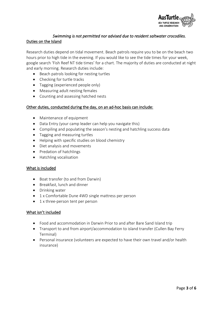

# *Swimming is not permitted nor advised due to resident saltwater crocodiles.*  Duties on the Island

Research duties depend on tidal movement. Beach patrols require you to be on the beach two hours prior to high tide in the evening. If you would like to see the tide times for your week, google search 'Fish Reef NT tide times' for a chart. The majority of duties are conducted at night and early morning. Research duties include:

- Beach patrols looking for nesting turtles
- Checking for turtle tracks
- Tagging (experienced people only)
- Measuring adult nesting females
- Counting and assessing hatched nests

### Other duties, conducted during the day, on an ad-hoc basis can include:

- Maintenance of equipment
- Data Entry (your camp leader can help you navigate this)
- Compiling and populating the season's nesting and hatchling success data
- Tagging and measuring turtles
- Helping with specific studies on blood chemistry
- Diet analysis and movements
- Predation of hatchlings
- Hatchling vocalisation

#### What is included

- Boat transfer (to and from Darwin)
- Breakfast, lunch and dinner
- Drinking water
- 1 x Comfortable Dune 4WD single mattress per person
- 1 x three-person tent per person

## What isn't included

- Food and accommodation in Darwin Prior to and after Bare Sand Island trip
- Transport to and from airport/accommodation to island transfer (Cullen Bay Ferry Terminal)
- Personal insurance (volunteers are expected to have their own travel and/or health insurance)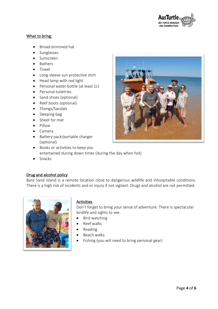

## What to bring:

- Broad-brimmed hat
- Sunglasses
- Sunscreen
- Bathers
- Towel
- Long-sleeve sun protective shirt
- Head lamp with red light
- Personal water bottle (at least 1L)
- Personal toiletries
- Sand shoes (optional)
- Reef boots (optional)
- Thongs/Sandals
- Sleeping bag
- Sheet for mat
- Pillow
- Camera
- Battery pack/portable charger (optional)
- Books or activities to keep you entertained during down times (during the day when hot)
- Snacks

# Drug and alcohol policy

Bare Sand Island is a remote location close to dangerous wildlife and inhospitable conditions. There is a high risk of incidents and or injury if not vigilant. Drugs and alcohol are not permitted.



# **Activities**

Don't forget to bring your sense of adventure. There is spectacular birdlife and sights to see.

- Bird watching
- Reef walks
- Reading
- Beach walks
- Fishing (you will need to bring personal gear)